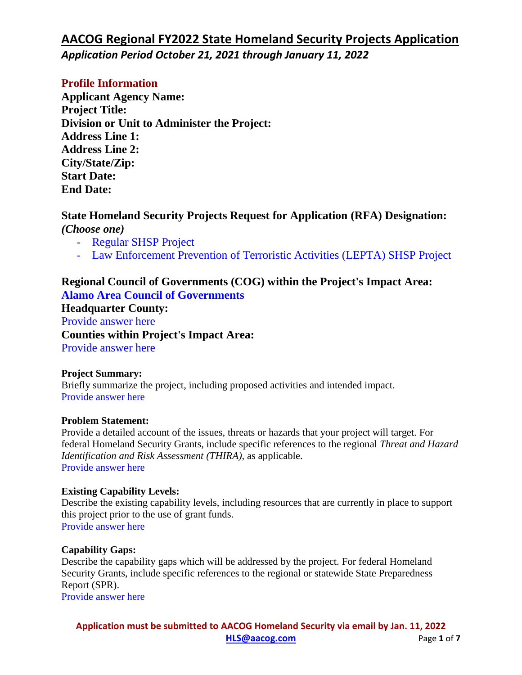### **Profile Information**

**Applicant Agency Name: Project Title: Division or Unit to Administer the Project: Address Line 1: Address Line 2: City/State/Zip: Start Date: End Date:**

### **State Homeland Security Projects Request for Application (RFA) Designation:**  *(Choose one)*

- Regular SHSP Project
- Law Enforcement Prevention of Terroristic Activities (LEPTA) SHSP Project

### **Regional Council of Governments (COG) within the Project's Impact Area: Alamo Area Council of Governments**

**Headquarter County:** Provide answer here **Counties within Project's Impact Area:** Provide answer here

### **Project Summary:**

Briefly summarize the project, including proposed activities and intended impact. Provide answer here

### **Problem Statement:**

Provide a detailed account of the issues, threats or hazards that your project will target. For federal Homeland Security Grants, include specific references to the regional *Threat and Hazard Identification and Risk Assessment (THIRA)*, as applicable. Provide answer here

### **Existing Capability Levels:**

Describe the existing capability levels, including resources that are currently in place to support this project prior to the use of grant funds. Provide answer here

### **Capability Gaps:**

Describe the capability gaps which will be addressed by the project. For federal Homeland Security Grants, include specific references to the regional or statewide State Preparedness Report (SPR). Provide answer here

**Application must be submitted to AACOG Homeland Security via email by Jan. 11, 2022 [HLS@aacog.com](mailto:HLS@aacog.com)** Page **1** of **7**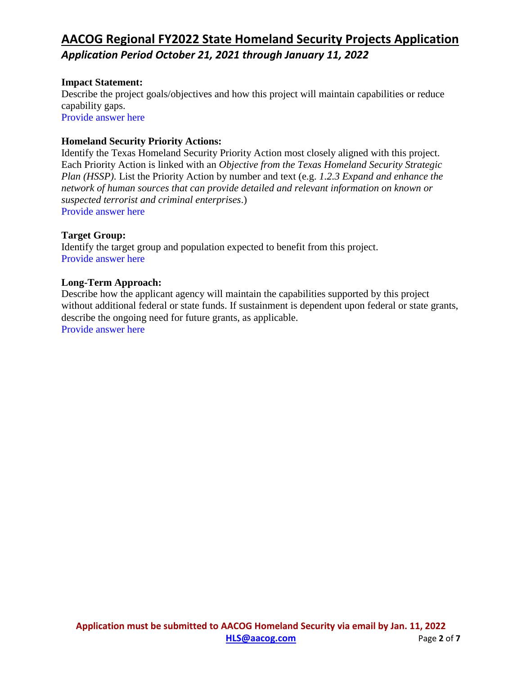### **Impact Statement:**

Describe the project goals/objectives and how this project will maintain capabilities or reduce capability gaps. Provide answer here

#### **Homeland Security Priority Actions:**

Identify the Texas Homeland Security Priority Action most closely aligned with this project. Each Priority Action is linked with an *Objective from the Texas Homeland Security Strategic Plan (HSSP)*. List the Priority Action by number and text (e.g. *1.2.3 Expand and enhance the network of human sources that can provide detailed and relevant information on known or suspected terrorist and criminal enterprises*.) Provide answer here

#### **Target Group:**

Identify the target group and population expected to benefit from this project. Provide answer here

#### **Long-Term Approach:**

Describe how the applicant agency will maintain the capabilities supported by this project without additional federal or state funds. If sustainment is dependent upon federal or state grants, describe the ongoing need for future grants, as applicable. Provide answer here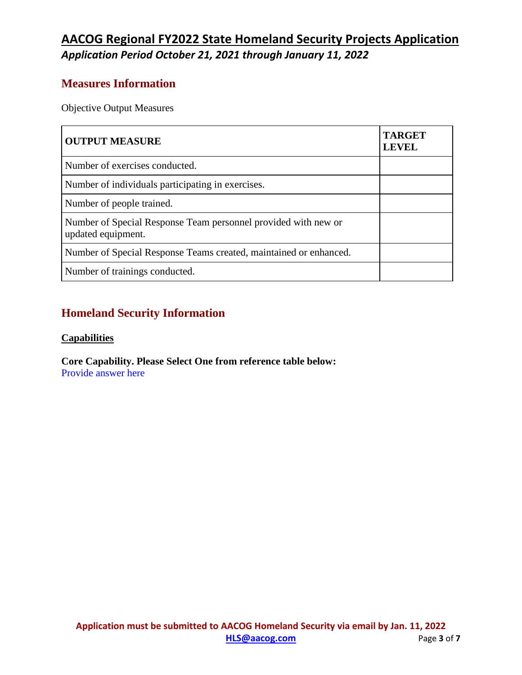### **Measures Information**

Objective Output Measures

| <b>OUTPUT MEASURE</b>                                                                | <b>TARGET</b><br><b>LEVEL</b> |
|--------------------------------------------------------------------------------------|-------------------------------|
| Number of exercises conducted.                                                       |                               |
| Number of individuals participating in exercises.                                    |                               |
| Number of people trained.                                                            |                               |
| Number of Special Response Team personnel provided with new or<br>updated equipment. |                               |
| Number of Special Response Teams created, maintained or enhanced.                    |                               |
| Number of trainings conducted.                                                       |                               |

### **Homeland Security Information**

### **Capabilities**

**Core Capability. Please Select One from reference table below:** Provide answer here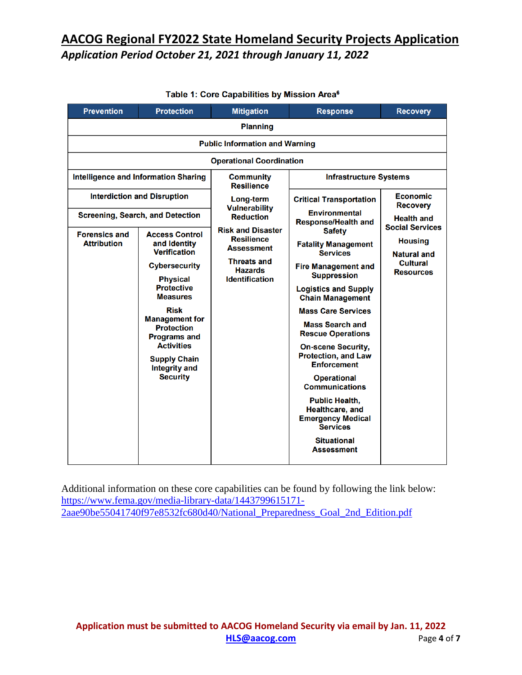| <b>Prevention</b>                                                                   | <b>Protection</b>                                                                              | <b>Mitigation</b>                                                                                                                                                                     | <b>Response</b>                                                                                | <b>Recovery</b>                                                     |                                             |  |  |
|-------------------------------------------------------------------------------------|------------------------------------------------------------------------------------------------|---------------------------------------------------------------------------------------------------------------------------------------------------------------------------------------|------------------------------------------------------------------------------------------------|---------------------------------------------------------------------|---------------------------------------------|--|--|
|                                                                                     | <b>Planning</b>                                                                                |                                                                                                                                                                                       |                                                                                                |                                                                     |                                             |  |  |
|                                                                                     | <b>Public Information and Warning</b>                                                          |                                                                                                                                                                                       |                                                                                                |                                                                     |                                             |  |  |
|                                                                                     |                                                                                                | <b>Operational Coordination</b>                                                                                                                                                       |                                                                                                |                                                                     |                                             |  |  |
| <b>Intelligence and Information Sharing</b>                                         |                                                                                                | <b>Community</b><br><b>Resilience</b>                                                                                                                                                 | <b>Infrastructure Systems</b>                                                                  |                                                                     |                                             |  |  |
|                                                                                     | <b>Interdiction and Disruption</b>                                                             | Long-term<br><b>Vulnerability</b><br><b>Reduction</b><br><b>Risk and Disaster</b><br>Resilience<br><b>Assessment</b><br><b>Threats and</b><br><b>Hazards</b><br><b>Identification</b> |                                                                                                | <b>Critical Transportation</b>                                      | <b>Economic</b><br><b>Recovery</b>          |  |  |
|                                                                                     | <b>Screening, Search, and Detection</b>                                                        |                                                                                                                                                                                       |                                                                                                | <b>Environmental</b><br><b>Response/Health and</b><br><b>Safety</b> | <b>Health and</b><br><b>Social Services</b> |  |  |
| <b>Forensics and</b><br><b>Attribution</b>                                          | <b>Access Control</b><br>and Identity<br><b>Verification</b>                                   |                                                                                                                                                                                       | <b>Fatality Management</b><br><b>Services</b>                                                  | <b>Housing</b><br>Natural and                                       |                                             |  |  |
|                                                                                     | <b>Cybersecurity</b><br><b>Physical</b>                                                        |                                                                                                                                                                                       | <b>Fire Management and</b><br><b>Suppression</b>                                               | <b>Cultural</b><br><b>Resources</b>                                 |                                             |  |  |
|                                                                                     | <b>Protective</b><br><b>Measures</b>                                                           |                                                                                                                                                                                       | <b>Logistics and Supply</b><br><b>Chain Management</b>                                         |                                                                     |                                             |  |  |
|                                                                                     | <b>Risk</b><br><b>Management for</b>                                                           |                                                                                                                                                                                       | <b>Mass Care Services</b>                                                                      |                                                                     |                                             |  |  |
|                                                                                     | <b>Mass Search and</b><br><b>Protection</b><br><b>Rescue Operations</b><br><b>Programs and</b> |                                                                                                                                                                                       |                                                                                                |                                                                     |                                             |  |  |
| <b>Activities</b><br><b>Supply Chain</b><br><b>Integrity and</b><br><b>Security</b> |                                                                                                | <b>On-scene Security,</b><br><b>Protection, and Law</b><br><b>Enforcement</b><br><b>Operational</b><br><b>Communications</b>                                                          |                                                                                                |                                                                     |                                             |  |  |
|                                                                                     |                                                                                                |                                                                                                                                                                                       |                                                                                                |                                                                     |                                             |  |  |
|                                                                                     |                                                                                                |                                                                                                                                                                                       | <b>Public Health,</b><br><b>Healthcare, and</b><br><b>Emergency Medical</b><br><b>Services</b> |                                                                     |                                             |  |  |
|                                                                                     |                                                                                                |                                                                                                                                                                                       | <b>Situational</b><br>Assessment                                                               |                                                                     |                                             |  |  |

#### Table 1: Core Capabilities by Mission Area<sup>6</sup>

Additional information on these core capabilities can be found by following the link below: [https://www.fema.gov/media-library-data/1443799615171-](https://www.fema.gov/media-library-data/1443799615171-2aae90be55041740f97e8532fc680d40/National_Preparedness_Goal_2nd_Edition.pdf) [2aae90be55041740f97e8532fc680d40/National\\_Preparedness\\_Goal\\_2nd\\_Edition.pdf](https://www.fema.gov/media-library-data/1443799615171-2aae90be55041740f97e8532fc680d40/National_Preparedness_Goal_2nd_Edition.pdf)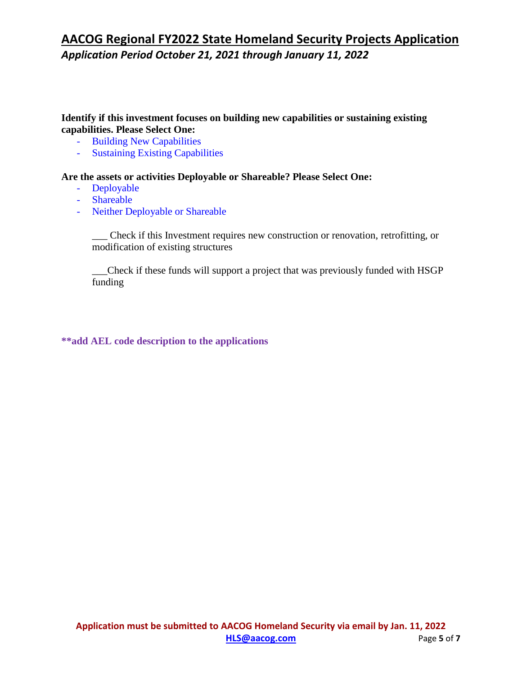### **Identify if this investment focuses on building new capabilities or sustaining existing capabilities. Please Select One:**

- Building New Capabilities
- Sustaining Existing Capabilities

#### **Are the assets or activities Deployable or Shareable? Please Select One:**

- Deployable
- Shareable
- Neither Deployable or Shareable

\_\_\_ Check if this Investment requires new construction or renovation, retrofitting, or modification of existing structures

\_\_\_Check if these funds will support a project that was previously funded with HSGP funding

#### **\*\*add AEL code description to the applications**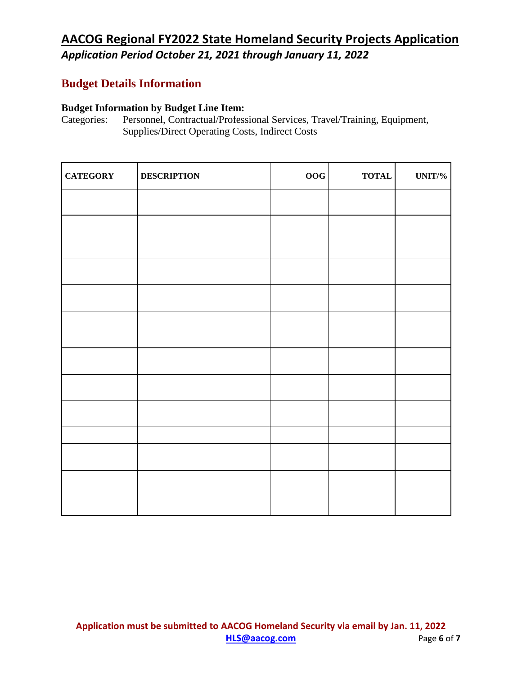### **Budget Details Information**

# **Budget Information by Budget Line Item:**<br>Categories: Personnel, Contractual/Profess

Personnel, Contractual/Professional Services, Travel/Training, Equipment, Supplies/Direct Operating Costs, Indirect Costs

| <b>CATEGORY</b> | <b>DESCRIPTION</b> | $\bf{OOG}$ | $\bf TOTAL$ | $UNIT\%$ |
|-----------------|--------------------|------------|-------------|----------|
|                 |                    |            |             |          |
|                 |                    |            |             |          |
|                 |                    |            |             |          |
|                 |                    |            |             |          |
|                 |                    |            |             |          |
|                 |                    |            |             |          |
|                 |                    |            |             |          |
|                 |                    |            |             |          |
|                 |                    |            |             |          |
|                 |                    |            |             |          |
|                 |                    |            |             |          |
|                 |                    |            |             |          |
|                 |                    |            |             |          |